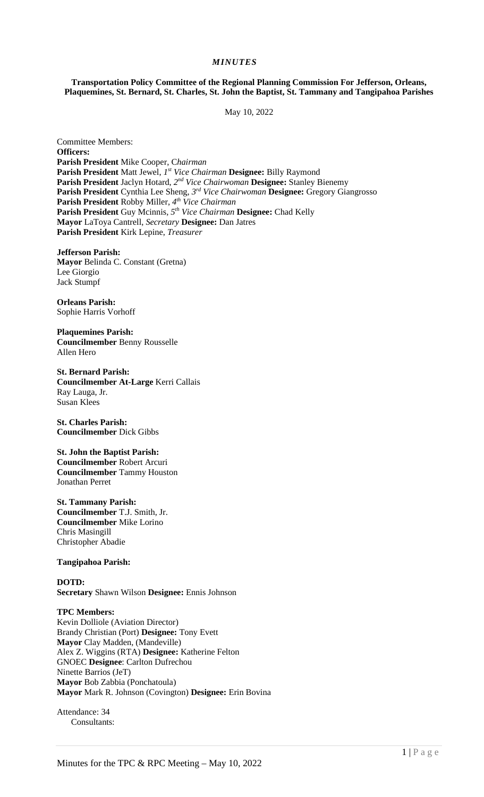## *MINUTES*

**Transportation Policy Committee of the Regional Planning Commission For Jefferson, Orleans, Plaquemines, St. Bernard, St. Charles, St. John the Baptist, St. Tammany and Tangipahoa Parishes** 

May 10, 2022

Committee Members: **Officers: Parish President** Mike Cooper, C*hairman*  **Parish President** Matt Jewel, *1 st Vice Chairman* **Designee:** Billy Raymond **Parish President** Jaclyn Hotard,  $2^{nd}$  Vice Chairwoman Designee: Stanley Bienemy **Parish President** Cynthia Lee Sheng, *3rd Vice Chairwoman* **Designee:** Gregory Giangrosso **Parish President** Robby Miller, *4 th Vice Chairman* **Parish President** Guy Mcinnis*, 5th Vice Chairman* **Designee:** Chad Kelly **Mayor** LaToya Cantrell, *Secretary* **Designee:** Dan Jatres **Parish President** Kirk Lepine, *Treasurer* 

**Jefferson Parish: Mayor** Belinda C. Constant (Gretna) Lee Giorgio Jack Stumpf

**Orleans Parish:**  Sophie Harris Vorhoff

**Plaquemines Parish: Councilmember** Benny Rousselle Allen Hero

**St. Bernard Parish: Councilmember At-Large** Kerri Callais Ray Lauga, Jr. Susan Klees

**St. Charles Parish: Councilmember** Dick Gibbs

**St. John the Baptist Parish: Councilmember** Robert Arcuri **Councilmember** Tammy Houston Jonathan Perret

**St. Tammany Parish: Councilmember** T.J. Smith, Jr. **Councilmember** Mike Lorino Chris Masingill Christopher Abadie

**Tangipahoa Parish:** 

**DOTD:**

**Secretary** Shawn Wilson **Designee:** Ennis Johnson

**TPC Members:**  Kevin Dolliole (Aviation Director) Brandy Christian (Port) **Designee:** Tony Evett **Mayor** Clay Madden, (Mandeville) Alex Z. Wiggins (RTA) **Designee:** Katherine Felton GNOEC **Designee**: Carlton Dufrechou Ninette Barrios (JeT) **Mayor** Bob Zabbia (Ponchatoula) **Mayor** Mark R. Johnson (Covington) **Designee:** Erin Bovina

Attendance: 34 Consultants: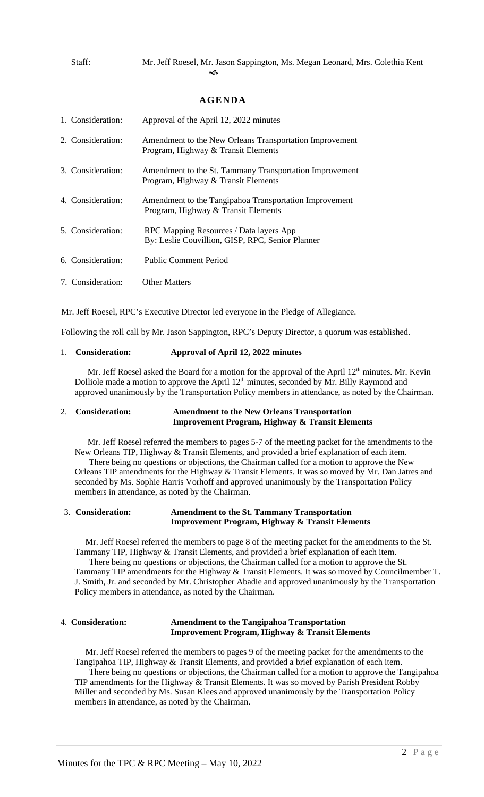Staff: Mr. Jeff Roesel, Mr. Jason Sappington, Ms. Megan Leonard, Mrs. Colethia Kent  $\clubsuit$ 

# **AGENDA**

| 1. Consideration: | Approval of the April 12, 2022 minutes                                                         |
|-------------------|------------------------------------------------------------------------------------------------|
| 2. Consideration: | Amendment to the New Orleans Transportation Improvement<br>Program, Highway & Transit Elements |
| 3. Consideration: | Amendment to the St. Tammany Transportation Improvement<br>Program, Highway & Transit Elements |
| 4. Consideration: | Amendment to the Tangipahoa Transportation Improvement<br>Program, Highway & Transit Elements  |
| 5. Consideration: | RPC Mapping Resources / Data layers App<br>By: Leslie Couvillion, GISP, RPC, Senior Planner    |
| 6. Consideration: | <b>Public Comment Period</b>                                                                   |
| 7. Consideration: | <b>Other Matters</b>                                                                           |

Mr. Jeff Roesel, RPC's Executive Director led everyone in the Pledge of Allegiance.

Following the roll call by Mr. Jason Sappington, RPC's Deputy Director, a quorum was established.

## 1. **Consideration: Approval of April 12, 2022 minutes**

Mr. Jeff Roesel asked the Board for a motion for the approval of the April  $12<sup>th</sup>$  minutes. Mr. Kevin Dolliole made a motion to approve the April 12<sup>th</sup> minutes, seconded by Mr. Billy Raymond and approved unanimously by the Transportation Policy members in attendance, as noted by the Chairman.

## 2. **Consideration: Amendment to the New Orleans Transportation Improvement Program, Highway & Transit Elements**

 Mr. Jeff Roesel referred the members to pages 5-7 of the meeting packet for the amendments to the New Orleans TIP, Highway & Transit Elements, and provided a brief explanation of each item.

There being no questions or objections, the Chairman called for a motion to approve the New Orleans TIP amendments for the Highway & Transit Elements. It was so moved by Mr. Dan Jatres and seconded by Ms. Sophie Harris Vorhoff and approved unanimously by the Transportation Policy members in attendance, as noted by the Chairman.

## 3. **Consideration: Amendment to the St. Tammany Transportation Improvement Program, Highway & Transit Elements**

Mr. Jeff Roesel referred the members to page 8 of the meeting packet for the amendments to the St. Tammany TIP, Highway & Transit Elements, and provided a brief explanation of each item. There being no questions or objections, the Chairman called for a motion to approve the St. Tammany TIP amendments for the Highway & Transit Elements. It was so moved by Councilmember T. J. Smith, Jr. and seconded by Mr. Christopher Abadie and approved unanimously by the Transportation Policy members in attendance, as noted by the Chairman.

# 4. **Consideration: Amendment to the Tangipahoa Transportation Improvement Program, Highway & Transit Elements**

 Mr. Jeff Roesel referred the members to pages 9 of the meeting packet for the amendments to the Tangipahoa TIP, Highway & Transit Elements, and provided a brief explanation of each item.

There being no questions or objections, the Chairman called for a motion to approve the Tangipahoa TIP amendments for the Highway & Transit Elements. It was so moved by Parish President Robby Miller and seconded by Ms. Susan Klees and approved unanimously by the Transportation Policy members in attendance, as noted by the Chairman.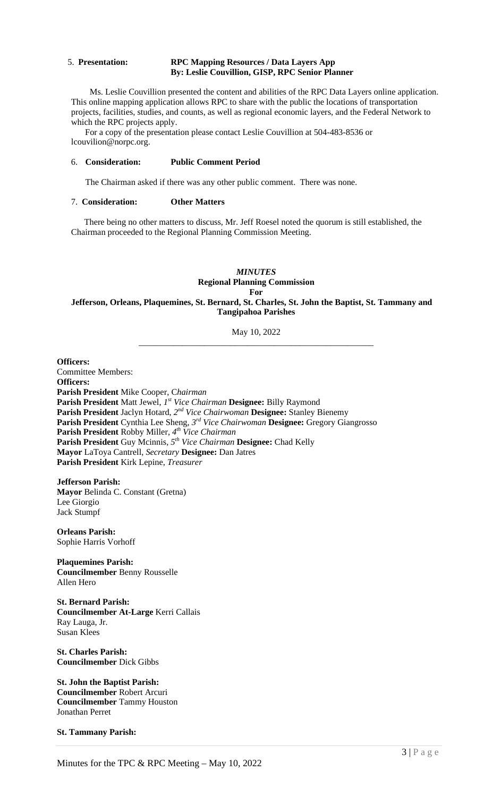#### 5. **Presentation: RPC Mapping Resources / Data Layers App By: Leslie Couvillion, GISP, RPC Senior Planner**

 Ms. Leslie Couvillion presented the content and abilities of the RPC Data Layers online application. This online mapping application allows RPC to share with the public the locations of transportation projects, facilities, studies, and counts, as well as regional economic layers, and the Federal Network to which the RPC projects apply.

 For a copy of the presentation please contact Leslie Couvillion at 504-483-8536 or lcouvilion@norpc.org.

## 6. **Consideration: Public Comment Period**

The Chairman asked if there was any other public comment. There was none.

## 7. **Consideration: Other Matters**

 There being no other matters to discuss, Mr. Jeff Roesel noted the quorum is still established, the Chairman proceeded to the Regional Planning Commission Meeting.

## *MINUTES*  **Regional Planning Commission For Jefferson, Orleans, Plaquemines, St. Bernard, St. Charles, St. John the Baptist, St. Tammany and Tangipahoa Parishes**

### May 10, 2022 \_\_\_\_\_\_\_\_\_\_\_\_\_\_\_\_\_\_\_\_\_\_\_\_\_\_\_\_\_\_\_\_\_\_\_\_\_\_\_\_\_\_\_\_\_\_\_\_\_\_\_\_\_\_

**Officers:**  Committee Members: **Officers: Parish President** Mike Cooper, C*hairman*  **Parish President** Matt Jewel, *1 st Vice Chairman* **Designee:** Billy Raymond **Parish President** Jaclyn Hotard,  $2^{nd}$  Vice Chairwoman Designee: Stanley Bienemy **Parish President** Cynthia Lee Sheng, *3rd Vice Chairwoman* **Designee:** Gregory Giangrosso **Parish President** Robby Miller, *4 th Vice Chairman* **Parish President** Guy Mcinnis*, 5th Vice Chairman* **Designee:** Chad Kelly **Mayor** LaToya Cantrell, *Secretary* **Designee:** Dan Jatres **Parish President** Kirk Lepine, *Treasurer* 

**Jefferson Parish: Mayor** Belinda C. Constant (Gretna) Lee Giorgio Jack Stumpf

**Orleans Parish:**  Sophie Harris Vorhoff

**Plaquemines Parish: Councilmember** Benny Rousselle Allen Hero

**St. Bernard Parish: Councilmember At-Large** Kerri Callais Ray Lauga, Jr. Susan Klees

**St. Charles Parish: Councilmember** Dick Gibbs

**St. John the Baptist Parish: Councilmember** Robert Arcuri **Councilmember** Tammy Houston Jonathan Perret

**St. Tammany Parish:**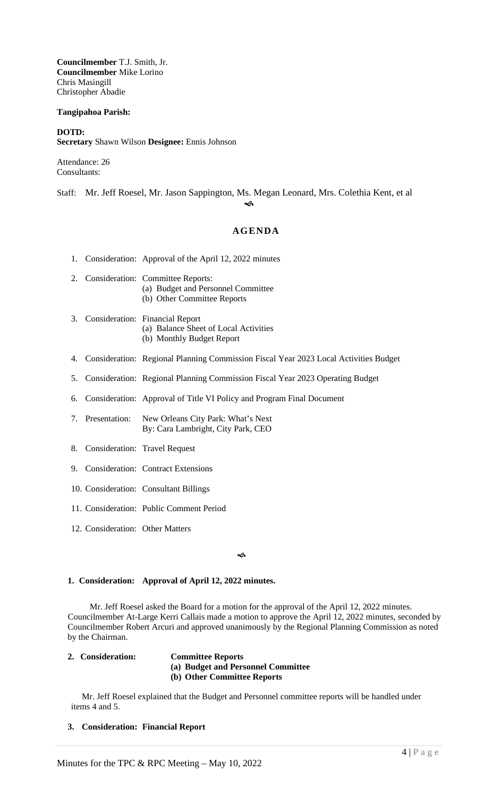**Councilmember** T.J. Smith, Jr. **Councilmember** Mike Lorino Chris Masingill Christopher Abadie

## **Tangipahoa Parish:**

## **DOTD: Secretary** Shawn Wilson **Designee:** Ennis Johnson

Attendance: 26 Consultants:

Staff: Mr. Jeff Roesel, Mr. Jason Sappington, Ms. Megan Leonard, Mrs. Colethia Kent, et al କ

# **AGENDA**

- 1. Consideration: Approval of the April 12, 2022 minutes
- 2. Consideration: Committee Reports: (a) Budget and Personnel Committee (b) Other Committee Reports
- 3. Consideration: Financial Report (a) Balance Sheet of Local Activities (b) Monthly Budget Report
- 4. Consideration: Regional Planning Commission Fiscal Year 2023 Local Activities Budget
- 5. Consideration: Regional Planning Commission Fiscal Year 2023 Operating Budget
- 6. Consideration: Approval of Title VI Policy and Program Final Document
- 7. Presentation: New Orleans City Park: What's Next By: Cara Lambright, City Park, CEO
- 8. Consideration: Travel Request
- 9. Consideration: Contract Extensions
- 10. Consideration: Consultant Billings
- 11. Consideration: Public Comment Period
- 12. Consideration: Other Matters

#### $\sim$

## **1. Consideration: Approval of April 12, 2022 minutes.**

 Mr. Jeff Roesel asked the Board for a motion for the approval of the April 12, 2022 minutes. Councilmember At-Large Kerri Callais made a motion to approve the April 12, 2022 minutes, seconded by Councilmember Robert Arcuri and approved unanimously by the Regional Planning Commission as noted by the Chairman.

## **2. Consideration: Committee Reports**

**(a) Budget and Personnel Committee** 

# **(b) Other Committee Reports**

Mr. Jeff Roesel explained that the Budget and Personnel committee reports will be handled under items 4 and 5.

## **3. Consideration: Financial Report**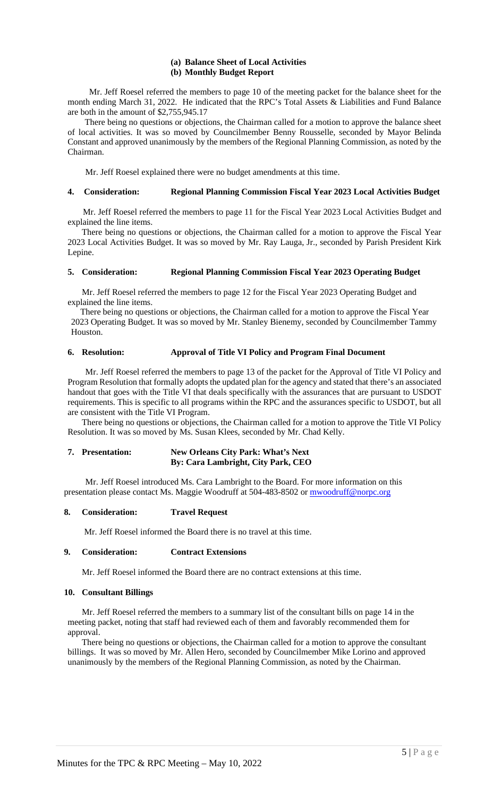## **(a) Balance Sheet of Local Activities (b) Monthly Budget Report**

 Mr. Jeff Roesel referred the members to page 10 of the meeting packet for the balance sheet for the month ending March 31, 2022. He indicated that the RPC's Total Assets & Liabilities and Fund Balance are both in the amount of \$2,755,945.17

 There being no questions or objections, the Chairman called for a motion to approve the balance sheet of local activities. It was so moved by Councilmember Benny Rousselle, seconded by Mayor Belinda Constant and approved unanimously by the members of the Regional Planning Commission, as noted by the Chairman.

Mr. Jeff Roesel explained there were no budget amendments at this time.

## **4. Consideration: Regional Planning Commission Fiscal Year 2023 Local Activities Budget**

 Mr. Jeff Roesel referred the members to page 11 for the Fiscal Year 2023 Local Activities Budget and explained the line items.

There being no questions or objections, the Chairman called for a motion to approve the Fiscal Year 2023 Local Activities Budget. It was so moved by Mr. Ray Lauga, Jr., seconded by Parish President Kirk Lepine.

## **5. Consideration: Regional Planning Commission Fiscal Year 2023 Operating Budget**

Mr. Jeff Roesel referred the members to page 12 for the Fiscal Year 2023 Operating Budget and explained the line items.

 There being no questions or objections, the Chairman called for a motion to approve the Fiscal Year 2023 Operating Budget. It was so moved by Mr. Stanley Bienemy, seconded by Councilmember Tammy Houston.

#### **6. Resolution: Approval of Title VI Policy and Program Final Document**

 Mr. Jeff Roesel referred the members to page 13 of the packet for the Approval of Title VI Policy and Program Resolution that formally adopts the updated plan for the agency and stated that there's an associated handout that goes with the Title VI that deals specifically with the assurances that are pursuant to USDOT requirements. This is specific to all programs within the RPC and the assurances specific to USDOT, but all are consistent with the Title VI Program.

There being no questions or objections, the Chairman called for a motion to approve the Title VI Policy Resolution. It was so moved by Ms. Susan Klees, seconded by Mr. Chad Kelly.

## **7. Presentation: New Orleans City Park: What's Next By: Cara Lambright, City Park, CEO**

Mr. Jeff Roesel introduced Ms. Cara Lambright to the Board. For more information on this presentation please contact Ms. Maggie Woodruff at 504-483-8502 or mwoodruff@norpc.org

## **8. Consideration: Travel Request**

Mr. Jeff Roesel informed the Board there is no travel at this time.

## **9. Consideration: Contract Extensions**

Mr. Jeff Roesel informed the Board there are no contract extensions at this time.

## **10. Consultant Billings**

Mr. Jeff Roesel referred the members to a summary list of the consultant bills on page 14 in the meeting packet, noting that staff had reviewed each of them and favorably recommended them for approval.

There being no questions or objections, the Chairman called for a motion to approve the consultant billings. It was so moved by Mr. Allen Hero, seconded by Councilmember Mike Lorino and approved unanimously by the members of the Regional Planning Commission, as noted by the Chairman.